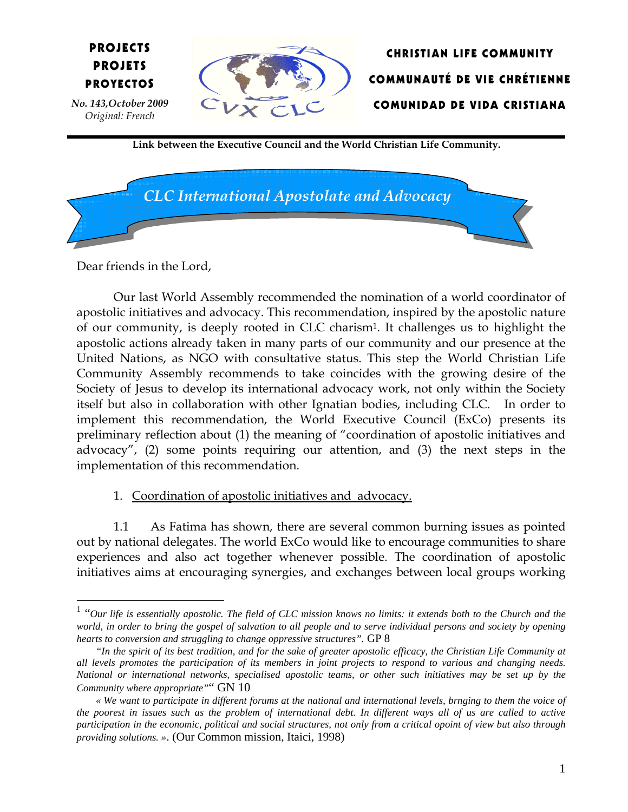



Link between the Executive Council and the World Christian Life Community.



Dear friends in the Lord,

PROYECTOS

PROJECTS PROJETS

 Original: French

No. 143,October 2009

Our last World Assembly recommended the nomination of a world coordinator of apostolic initiatives and advocacy. This recommendation, inspired by the apostolic nature of our community, is deeply rooted in CLC charism<sup>1</sup>. It challenges us to highlight the apostolic actions already taken in many parts of our community and our presence at the United Nations, as NGO with consultative status. This step the World Christian Life Community Assembly recommends to take coincides with the growing desire of the Society of Jesus to develop its international advocacy work, not only within the Society itself but also in collaboration with other Ignatian bodies, including CLC. In order to implement this recommendation, the World Executive Council (ExCo) presents its preliminary reflection about (1) the meaning of "coordination of apostolic initiatives and advocacy", (2) some points requiring our attention, and (3) the next steps in the implementation of this recommendation.

## 1. Coordination of apostolic initiatives and advocacy.

1.1 As Fatima has shown, there are several common burning issues as pointed out by national delegates. The world ExCo would like to encourage communities to share experiences and also act together whenever possible. The coordination of apostolic initiatives aims at encouraging synergies, and exchanges between local groups working

 1 "*Our life is essentially apostolic. The field of CLC mission knows no limits: it extends both to the Church and the world, in order to bring the gospel of salvation to all people and to serve individual persons and society by opening hearts to conversion and struggling to change oppressive structures".* GP 8

*<sup>&</sup>quot;In the spirit of its best tradition, and for the sake of greater apostolic efficacy, the Christian Life Community at all levels promotes the participation of its members in joint projects to respond to various and changing needs. National or international networks, specialised apostolic teams, or other such initiatives may be set up by the Community where appropriate"*" GN 10

*<sup>«</sup> We want to participate in different forums at the national and international levels, brnging to them the voice of the poorest in issues such as the problem of international debt. In different ways all of us are called to active participation in the economic, political and social structures, not only from a critical opoint of view but also through providing solutions. »*. (Our Common mission, Itaici, 1998)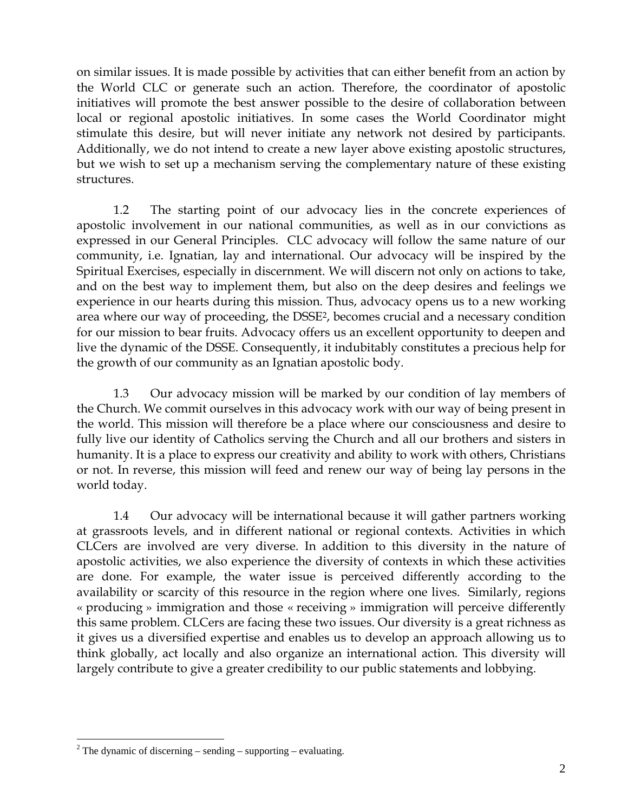on similar issues. It is made possible by activities that can either benefit from an action by the World CLC or generate such an action. Therefore, the coordinator of apostolic initiatives will promote the best answer possible to the desire of collaboration between local or regional apostolic initiatives. In some cases the World Coordinator might stimulate this desire, but will never initiate any network not desired by participants. Additionally, we do not intend to create a new layer above existing apostolic structures, but we wish to set up a mechanism serving the complementary nature of these existing structures.

1.2 The starting point of our advocacy lies in the concrete experiences of apostolic involvement in our national communities, as well as in our convictions as expressed in our General Principles. CLC advocacy will follow the same nature of our community, i.e. Ignatian, lay and international. Our advocacy will be inspired by the Spiritual Exercises, especially in discernment. We will discern not only on actions to take, and on the best way to implement them, but also on the deep desires and feelings we experience in our hearts during this mission. Thus, advocacy opens us to a new working area where our way of proceeding, the DSSE<sup>2</sup>, becomes crucial and a necessary condition for our mission to bear fruits. Advocacy offers us an excellent opportunity to deepen and live the dynamic of the DSSE. Consequently, it indubitably constitutes a precious help for the growth of our community as an Ignatian apostolic body.

1.3 Our advocacy mission will be marked by our condition of lay members of the Church. We commit ourselves in this advocacy work with our way of being present in the world. This mission will therefore be a place where our consciousness and desire to fully live our identity of Catholics serving the Church and all our brothers and sisters in humanity. It is a place to express our creativity and ability to work with others, Christians or not. In reverse, this mission will feed and renew our way of being lay persons in the world today.

1.4 Our advocacy will be international because it will gather partners working at grassroots levels, and in different national or regional contexts. Activities in which CLCers are involved are very diverse. In addition to this diversity in the nature of apostolic activities, we also experience the diversity of contexts in which these activities are done. For example, the water issue is perceived differently according to the availability or scarcity of this resource in the region where one lives. Similarly, regions « producing » immigration and those « receiving » immigration will perceive differently this same problem. CLCers are facing these two issues. Our diversity is a great richness as it gives us a diversified expertise and enables us to develop an approach allowing us to think globally, act locally and also organize an international action. This diversity will largely contribute to give a greater credibility to our public statements and lobbying.

 $\overline{a}$ 

<sup>&</sup>lt;sup>2</sup> The dynamic of discerning – sending – supporting – evaluating.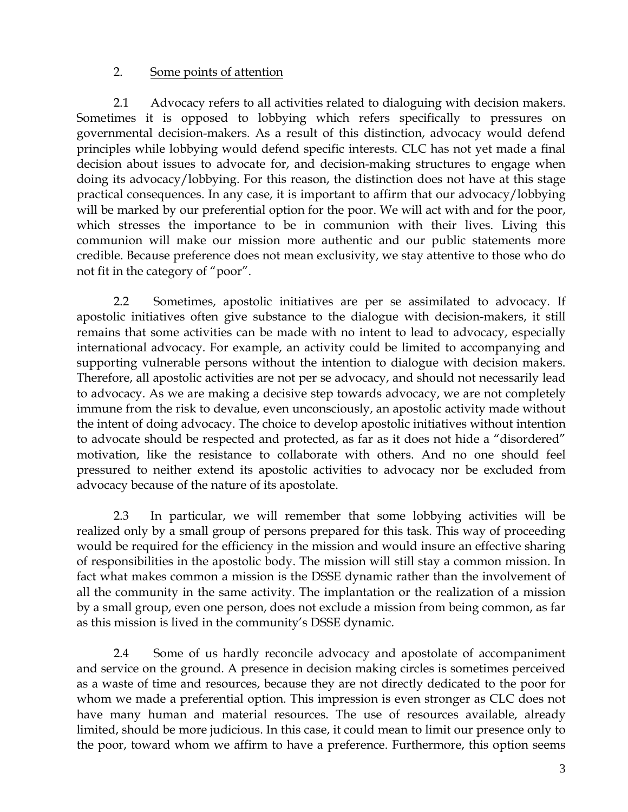## 2. Some points of attention

2.1 Advocacy refers to all activities related to dialoguing with decision makers. Sometimes it is opposed to lobbying which refers specifically to pressures on governmental decision-makers. As a result of this distinction, advocacy would defend principles while lobbying would defend specific interests. CLC has not yet made a final decision about issues to advocate for, and decision-making structures to engage when doing its advocacy/lobbying. For this reason, the distinction does not have at this stage practical consequences. In any case, it is important to affirm that our advocacy/lobbying will be marked by our preferential option for the poor. We will act with and for the poor, which stresses the importance to be in communion with their lives. Living this communion will make our mission more authentic and our public statements more credible. Because preference does not mean exclusivity, we stay attentive to those who do not fit in the category of "poor".

2.2 Sometimes, apostolic initiatives are per se assimilated to advocacy. If apostolic initiatives often give substance to the dialogue with decision-makers, it still remains that some activities can be made with no intent to lead to advocacy, especially international advocacy. For example, an activity could be limited to accompanying and supporting vulnerable persons without the intention to dialogue with decision makers. Therefore, all apostolic activities are not per se advocacy, and should not necessarily lead to advocacy. As we are making a decisive step towards advocacy, we are not completely immune from the risk to devalue, even unconsciously, an apostolic activity made without the intent of doing advocacy. The choice to develop apostolic initiatives without intention to advocate should be respected and protected, as far as it does not hide a "disordered" motivation, like the resistance to collaborate with others. And no one should feel pressured to neither extend its apostolic activities to advocacy nor be excluded from advocacy because of the nature of its apostolate.

2.3 In particular, we will remember that some lobbying activities will be realized only by a small group of persons prepared for this task. This way of proceeding would be required for the efficiency in the mission and would insure an effective sharing of responsibilities in the apostolic body. The mission will still stay a common mission. In fact what makes common a mission is the DSSE dynamic rather than the involvement of all the community in the same activity. The implantation or the realization of a mission by a small group, even one person, does not exclude a mission from being common, as far as this mission is lived in the community's DSSE dynamic.

2.4 Some of us hardly reconcile advocacy and apostolate of accompaniment and service on the ground. A presence in decision making circles is sometimes perceived as a waste of time and resources, because they are not directly dedicated to the poor for whom we made a preferential option. This impression is even stronger as CLC does not have many human and material resources. The use of resources available, already limited, should be more judicious. In this case, it could mean to limit our presence only to the poor, toward whom we affirm to have a preference. Furthermore, this option seems